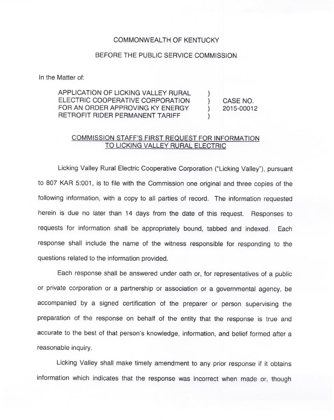## COMMONWEALTH OF KENTUCKY

## BEFORE THE PUBLIC SERVICE COMMISSION

In the Matter of:

APPLICATION OF LICKING VALLEY RURAL ELECTRIC COOPERATIVE CORPORATION FOR AN ORDER APPROVING KY ENERGY RETROFIT RIDER PERMANENT TARIFF ) )

) CASE NO.<br>) 2015-0001: ) 2015-00012

## COMMISSION STAFF'S FIRST REQUEST FOR INFORMATION TO LICKING VALLEY RURAL ELECTRIC

Licking Valley Rural Electric Cooperative Corporation ("Licking Valley"), pursuant to 807 KAR 5:001, is to file with the Commission one original and three copies of the following information, with a copy to all parties of record. The information requested herein is due no later than 14 days from the date of this request. Responses to requests for information shall be appropriately bound, tabbed and indexed. Each response shall include the name of the witness responsible for responding to the questions related to the information provided.

Each response shall be answered under oath or, for representatives of a public or private corporation or a partnership or association or a governmental agency, be accompanied by a signed certification of the preparer or person supervising the preparation of the response on behalf of the entity that the response is true and accurate to the best of that person's knowledge, information, and belief formed after a reasonable inquiry.

Licking Valley shall make timely amendment to any prior response if it obtains information which indicates that the response was incorrect when made or, though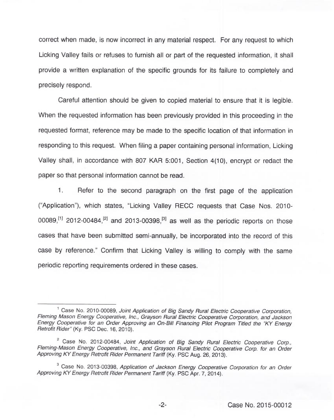correct when made, is now incorrect in any material respect. For any request to which Licking Valley fails or refuses to furnish all or part of the requested information, it shall provide a written explanation of the specific grounds for its failure to completely and precisely respond.

Careful attention should be given to copied material to ensure that it is legible. When the requested information has been previously provided in this proceeding in the requested format, reference may be made to the specific location of that information in responding to this request. When filing a paper containing personal information, Licking Valley shall, in accordance with 807 KAR 5:001, Section 4(10), encrypt or redact the paper so that personal information cannot be read.

 $1.$ Refer to the second paragraph on the first page of the application ("Application"), which states, "Licking Valley RECC requests that Case Nos. 2010-00089,<sup>[1]</sup> 2012-00484,<sup>[2]</sup> and 2013-00398.<sup>[3]</sup> as well as the periodic reports on those cases that have been submitted semi-annually, be incorporated into the record of this case by reference." Confirm that Licking Valley is willing to comply with the same periodic reporting requirements ordered in these cases.

<sup>&</sup>lt;sup>1</sup> Case No. 2010-00089, Joint Application of Big Sandy Rural Electric Cooperative Corporation, Fleming Mason Energy Cooperative, Inc., Grayson Rural Electric Cooperative Corporation, and Jackson Energy Cooperative for an Order Approving an On-Bill Financing Pilot Program Titled the "KY Energy Retrofit Rider" (Ky. PSC Dec. 16, 2010).

<sup>&</sup>lt;sup>2</sup> Case No. 2012-00484, Joint Application of Big Sandy Rural Electric Cooperative Corp., Fleming-Mason Energy Cooperative, Inc., and Grayson Rural Electric Cooperative Corp. for an Order Approving KY Energy Retrofit Rider Permanent Tariff (Ky. PSC Aug. 26, 2013).

<sup>&</sup>lt;sup>3</sup> Case No. 2013-00398, Application of Jackson Energy Cooperative Corporation for an Order Approving KY Energy Retrofit Rider Permanent Tariff (Ky. PSC Apr. 7, 2014).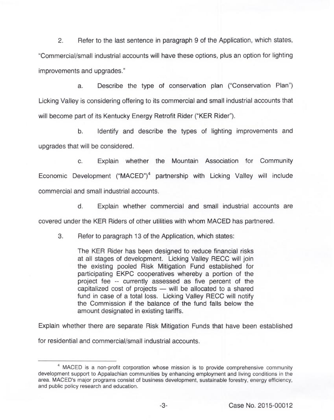2. Refer to the last sentence in paragraph 9 of the Application, which states, "Commercial/small industrial accounts will have these options, plus an option for lighting improvements and upgrades."

a. Describe the type of conservation plan ("Conservation Plan") Licking Valley is considering offering to its commercial and small industrial accounts that will become part of its Kentucky Energy Retrofit Rider ("KER Rider").

b. Identify and describe the types of lighting improvements and upgrades that will be considered.

c. Explain whether the Mountain Association for Community Economic Development ("MACED")<sup>4</sup> partnership with Licking Valley will include commercial and small industrial accounts.

d. Explain whether commercial and small industrial accounts are

covered under the KER Riders of other utilities with whom MACED has partnered.

3. Refer to paragraph 13 of the Application, which states:

The KER Rider has been designed to reduce financial risks at all stages of development. Licking Valley RECC will join the existing pooled Risk Mitigation Fund established for participating EKPC cooperatives whereby a portion of the project fee -- currently assessed as five percent of the capitalized cost of projects  $-$  will be allocated to a shared fund in case of a total loss. Licking Valley RECC will notify the Commission if the balance of the fund falls below the amount designated in existing tariffs.

Explain whether there are separate Risk Mitigation Funds that have been established

for residential and commercial/small industrial accounts.

<sup>&</sup>lt;sup>4</sup> MACED is a non-profit corporation whose mission is to provide comprehensive community development support to Appalachian communities by enhancing employment and living conditions in the area. MACED's major programs consist of business development, sustainable forestry, energy efficiency, and public policy research and education.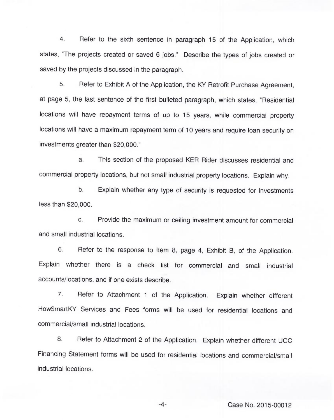$\overline{4}$ . Refer to the sixth sentence in paragraph 15 of the Application, which states, "The projects created or saved 6 jobs." Describe the types of jobs created or saved by the projects discussed in the paragraph.

5. Refer to Exhibit <sup>A</sup> of the Application, the KY Retrofit Purchase Agreement, at page 5, the last sentence of the first bulleted paragraph, which states, "Residential locations will have repayment terms of up to 15 years, while commercial property locations will have a maximum repayment term of 10 years and require loan security on investments greater than \$20,000."

a. This section of the proposed KER Rider discusses residential and commercial property locations, but not small industrial property locations. Explain why.

b. Explain whether any type of security is requested for investments less than \$20,000.

c. Provide the maximum or ceiling investment amount for commercial and small industrial locations.

6. Refer to the response to Item 8, page 4, Exhibit B, of the Application. Explain whether there is a check list for commercial and small industrial accounts/locations, and if one exists describe.

7. Refer to Attachment <sup>1</sup> of the Application. Explain whether different How\$martKY Services and Fees forms will be used for residential locations and commercial/small industrial locations.

8. Refer to Attachment 2 of the Application. Explain whether different UCC Financing Statement forms will be used for residential locations and commercial/small industrial locations.

-4- Case No. 2015-00012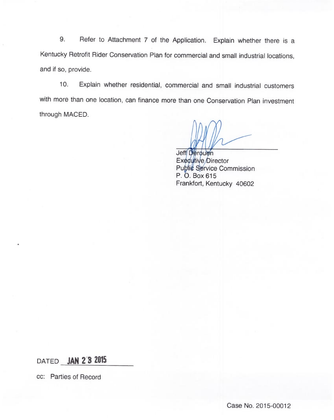9. Refer to Attachment 7 of the Application. Explain whether there is a Kentucky Retrofit Rider Conservation Plan for commercial and small industrial locations, and if so, provide.

10. Explain whether residential, commercial and small industrial customers with more than one location, can finance more than one Conservation Plan investment through MACED.

Jeff Deroue Executive Directo Puþli¢ Service Commissic P. O. Box 615 Frankfort, Kentucky 40602

DATED **JAN 2 3 2015** 

cc: Parties of Record